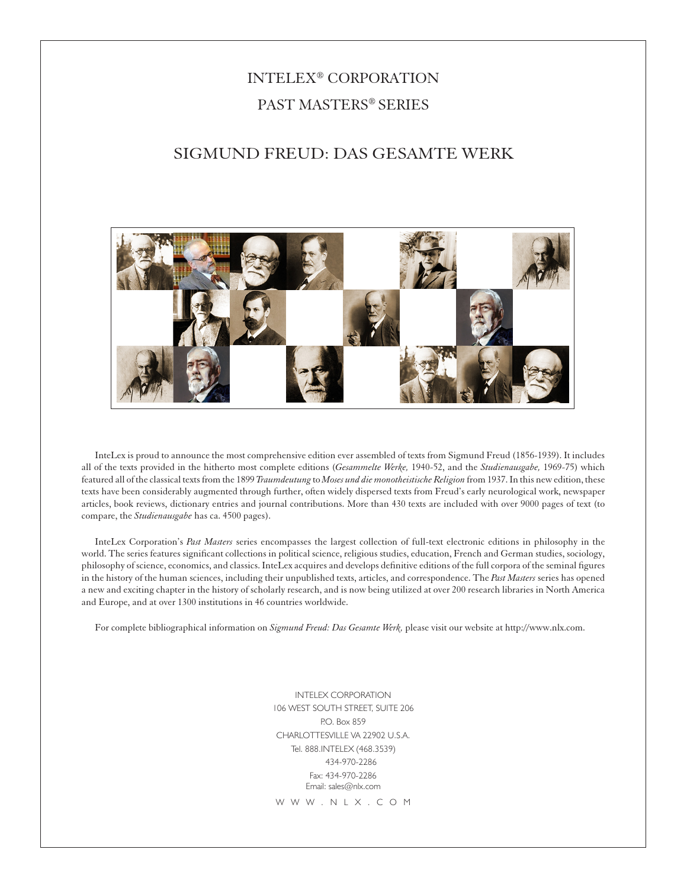# INTELEX® CORPORATION PAST MASTERS® SERIES

# SIGMUND FREUD: DAS GESAMTE WERK



InteLex is proud to announce the most comprehensive edition ever assembled of texts from Sigmund Freud (1856-1939). It includes all of the texts provided in the hitherto most complete editions (*Gesammelte Werke,* 1940-52, and the *Studienausgabe,* 1969-75) which featured all of the classical texts from the 1899 *Traumdeutung* to *Moses und die monotheistische Religion* from 1937. In this new edition, these texts have been considerably augmented through further, often widely dispersed texts from Freud's early neurological work, newspaper articles, book reviews, dictionary entries and journal contributions. More than 430 texts are included with over 9000 pages of text (to compare, the *Studienausgabe* has ca. 4500 pages).

InteLex Corporation's *Past Masters* series encompasses the largest collection of full-text electronic editions in philosophy in the world. The series features significant collections in political science, religious studies, education, French and German studies, sociology, philosophy of science, economics, and classics. InteLex acquires and develops definitive editions of the full corpora of the seminal figures in the history of the human sciences, including their unpublished texts, articles, and correspondence. The *Past Masters* series has opened a new and exciting chapter in the history of scholarly research, and is now being utilized at over 200 research libraries in North America and Europe, and at over 1300 institutions in 46 countries worldwide.

For complete bibliographical information on *Sigmund Freud: Das Gesamte Werk,* please visit our website at http://www.nlx.com.

INTELEX CORPORATION 106 WEST SOUTH STREET, SUITE 206 P.O. Box 859 CHARLOTTESVILLE VA 22902 U.S.A. Tel. 888.INTELEX (468.3539) 434-970-2286 Fax: 434-970-2286 Email: sales@nlx.com W W W . N L X . C O M